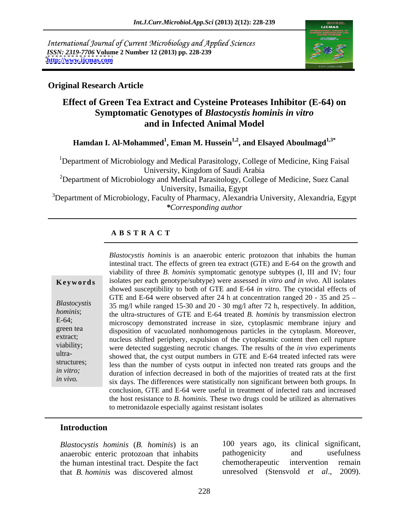International Journal of Current Microbiology and Applied Sciences *ISSN: 2319-7706* **Volume 2 Number 12 (2013) pp. 228-239 <http://www.ijcmas.com>**



## **Original Research Article**

## **Effect of Green Tea Extract and Cysteine Proteases Inhibitor (E-64) on Symptomatic Genotypes of** *Blastocystis hominis in vitro*  **and in Infected Animal Model**

**Hamdan I. Al-Mohammed<sup>1</sup> , Eman M. Hussein1,2 , and Elsayed Aboulmagd1,3\***

<sup>1</sup>Department of Microbiology and Medical Parasitology, College of Medicine, King Faisal University, Kingdom of Saudi Arabia

<sup>2</sup>Department of Microbiology and Medical Parasitology, College of Medicine, Suez Canal University, Ismailia, Egypt

<sup>3</sup>Department of Microbiology, Faculty of Pharmacy, Alexandria University, Alexandria, Egypt *\*Corresponding author* 

## **A B S T R A C T**

**Ke ywo rds** isolates per each genotype/subtype) were assessed *in vitro and in vivo*. All isolates *Blastocystis*  35 mg/l while ranged 15-30 and 20 - 30 mg/l after 72 h, respectively. In addition, *hominis*; the ultra-structures of GTE and E-64 treated *B. hominis* by transmission electron E-64;<br>microscopy demonstrated increase in size, cytoplasmic membrane injury and green tea disposition of vacuolated nonhomogenous particles in the cytoplasm. Moreover, extract;<br>
nucleus shifted periphery, expulsion of the cytoplasmic content then cell rupture viability; were detected suggesting necrotic changes. The results of the *in vivo* experiments ultra-<br>showed that, the cyst output numbers in GTE and E-64 treated infected rats were structures;<br>less than the number of cysts output in infected non treated rats groups and the *in vitro;* duration of infection decreased in both of the majorities of treated rats at the first *Blastocystis hominis* is an anaerobic enteric protozoon that inhabits the human intestinal tract. The effects of green tea extract (GTE) and E-64 on the growth and isolates per each genotype/subtype) were assessed *in v* intestinal tract. The effects of green tea extract (GTE) and E-64 on the growth and viability of three *B. hominis* symptomatic genotype subtypes (I, III and IV; four showed susceptibility to both of GTE and E-64 *in vitro*. The cytocidal effects of GTE and E-64 were observed after 24 h at concentration ranged 20 - 35 and 25 six days. The differences were statistically non significant between both groups. In conclusion, GTE and E-64 were useful in treatment of infected rats and increased the host resistance to *B. hominis*. These two drugs could be utilized as alternatives to metronidazole especially against resistant isolates

## **Introduction**

*Blastocystis hominis* (*B. hominis*) is an anaerobic enteric protozoan that inhabits the human intestinal tract. Despite the fact that *B. hominis* was discovered almost

100 years ago, its clinical significant, pathogenicity and usefulness chemotherapeutic intervention remain unresolved (Stensvold *et al*., 2009).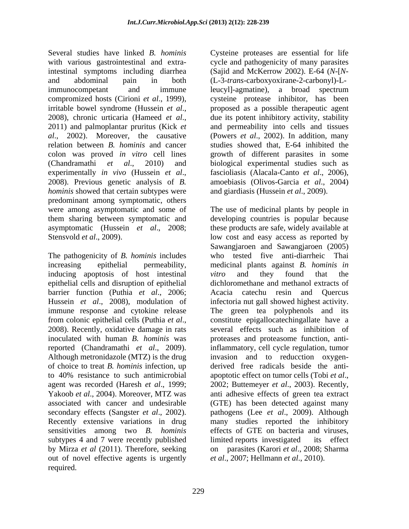Several studies have linked *B. hominis* Cysteine proteases are essential for life with various gastrointestinal and extra-cycle and pathogenicity of many parasites intestinal symptoms including diarrhea (Sajid and McKerrow 2002).E-64 (*N*-[*N* and abdominal pain in both (L-3-*trans*-carboxyoxirane-2-carbonyl)-Limmunocompetant and immune leucyl-agmatine), a broad spectrum compromized hosts (Cirioni *et al*., 1999), cysteine protease inhibitor, has been irritable bowel syndrome (Hussein *et al.*, <br>2008), chronic urticaria (Hameed *et al.*, due its potent inhibitory activity, stability<br>2011) and palmoplantar pruritus (Kick *et* and permeability into cells and tissues *al*., 2002). Moreover, the causative (Powers *et al*., 2002).In addition, many relation between *B. hominis* and cancer studies showed that, E-64 inhibited the colon was proved *in vitro* cell lines growth of different parasites in some (Chandramathi *et al*., 2010) and biological experimental studies such as experimentally *in vivo* (Hussein *et al.*, fascioliasis (Alacala-Canto *et al.*, 2006), 2008). Previous genetic analysis of *B*. amoebiasis (Olivos-Garcia *et al.*, 2004) *hominis* showed that certain subtypes were predominant among symptomatic, others were among asymptomatic and some of The use of medicinal plants by people in them sharing between symptomatic and developing countries is popular because asymptomatic (Hussein *et al*., 2008; these products are safe, widely available at

The pathogenicity of *B. hominis* includes increasing epithelial permeability, medicinal plants against *B. hominis in* inducing apoptosis of host intestinal vitro and they found that the epithelial cells and disruption of epithelial barrier function (Puthia *et al*., 2006; Acacia catechu resin and Quercus Hussein *et al.*, 2008), modulation of infectoria nut gall showed highest activity. immune response and cytokine release from colonic epithelial cells (Puthia *et al*., constitute epigallocatechingallate have a<br>2008). Recently, oxidative damage in rats several effects such as inhibition of inoculated with human *B. hominis* was proteases and proteasome function, antireported (Chandramathi *et al*., 2009). inflammatory, cell cycle regulation, tumor Although metronidazole (MTZ) is the drug of choice to treat *B. hominis* infection, up derived free radicals beside the anti to 40% resistance to such antimicrobial apoptotic effect on tumor cells (Tobi *et al.*, agent was recorded (Haresh *et al*., 1999; apoptotic effect on tumor cells (Tobi *et al*., 2002; Buttemeyer *et al*., 2003). Recently, Yakoob *et al*., 2004). Moreover, MTZ was anti adhesive effects of green tea extract associated with cancer and undesirable (GTE) has been detected against many secondary effects (Sangster *et al*., 2002). pathogens (Lee *et al*., 2009). Although Recently extensive variations in drug many studies reported the inhibitory sensitivities among two *B. hominis* subtypes 4 and 7 were recently published limited reports investigated its effect by Mirza *et al* (2011). Therefore, seeking out of novel effective agents is urgently required.

leucyl]-agmatine)*,* a broad spectrum proposed as a possible therapeutic agent due its potent inhibitory activity, stability and permeability into cells and tissues fascioliasis (Alacala-Canto *et al*., 2006), amoebiasis (Olivos-Garcia *et al*., 2004) and giardiasis (Hussein *et al*., 2009).

Stensvold *et al.*, 2009). low cost and easy access as reported by Sawangjaroen and Sawangjaroen (2005) who tested five anti-diarrheic Thai *vitro* and they found that the dichloromethane and methanol extracts of The green tea polyphenols and its constitute epigallocatechingallate have a several effects such as inhibition of invasion and to reducction oxygen effects of GTE on bacteria and viruses, limited reports investigated its effect on parasites (Karori *et al*., 2008; Sharma *et al*., 2007; Hellmann *et al*., 2010).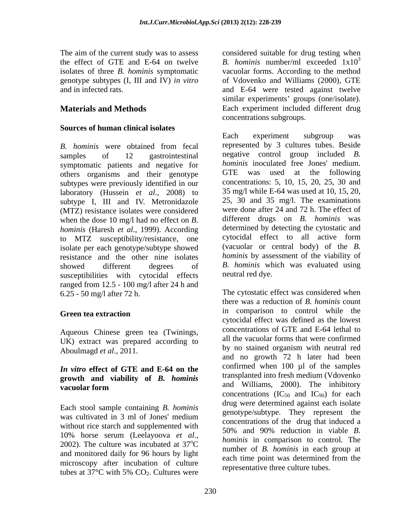*B. hominis* were obtained from fecal samples of 12 gastrointestinal negative control group included *B.*  symptomatic patients and negative for *hominis* inoculated free Jones' medium.<br>
others organisms and their genotype GTE was used at the following others organisms and their genotype subtypes were previously identified in our laboratory (Hussein *et al*., 2008) to subtype I, III and IV. Metronidazole (MTZ) resistance isolates were considered when the dose 10 mg/l had no effect on *B. hominis* (Haresh *et al*., 1999). According to MTZ susceptibility/resistance, one isolate per each genotype/subtype showed resistance and the other nine isolates showed different degrees of *B. hominis* which was evaluated using susceptibilities with cytocidal effects ranged from 12.5 - 100 mg/l after 24 h and

Aqueous Chinese green tea (Twinings, UK) extract was prepared according to Aboulmagd *et al*., 2011.

# **growth and viability of** *B. hominis*

Each stool sample containing *B. hominis* without rice starch and supplemented with  $50\%$  and 90% reduction in viable *B*. and monitored daily for 96 hours by light each time point was determined from the microscopy after incubation of culture tubes at  $37^{\circ}$ C with 5% CO<sub>2</sub>. Cultures were representative time culture tables.

The aim of the current study was to assess considered suitable for drug testing when the effect of GTE and E-64 on twelve *B. hominis* number/ml exceeded 1x10 isolates of three *B. hominis* symptomatic vacuolar forms. According to the method genotype subtypes (I, III and IV) *in vitro* of Vdovenko and Williams (2000), GTE and in infected rats. and E-64 were tested against twelve **Materials and Methods** Each experiment included different drug 3 similar experiments' groups (one/isolate). concentrations subgroups.

**Sources of human clinical isolates**<br> **Each**<br> **Each**<br> **Each**<br> **Each**<br> **Each**<br> **Each**<br> **Each**<br> **Each**<br> **Each**<br> **Each**<br> **Each**<br> **Each**<br> **Each**<br> **EAL** Each experiment subgroup was represented by 3 cultures tubes. Beside *hominis* inoculated free Jones' medium. GTE was used at the following concentrations: 5, 10, 15, 20, 25, 30 and 35 mg/l while E-64 was used at 10, 15, 20, 25, 30 and 35 mg/l. The examinations were done after 24 and 72 h. The effect of different drugs on *B. hominis* was determined by detecting the cytostatic and cytocidal effect to all active form (vacuolar or central body) of the *B. hominis* by assessment of the viability of neutral red dye.

6.25 - 50 mg/l after 72 h. The cytostatic effect was considered when Green tea extraction and the comparison to control while the *In vitro* **effect of GTE and E-64 on the vacuolar form** and williams, 2000). The inhibitory and williams and  $\sqrt{2}$ was cultivated in 3 ml of Jones' medium<br>concentrations of the drug that induced a 10% horse serum (Leelayoova *et al.*,  $hominis$  in comparison to control. The 2002). The culture was incubated at  $37^{\circ}$ C number of *B* hominis in each group at <sup>o</sup>C *hominis* in comparison to control. The<br>
number of *B. hominis* in each group at there was a reduction of *B. hominis* count in comparison to control while the cytocidal effect was defined as the lowest concentrations of GTE and E-64 lethal to all the vacuolar forms that were confirmed by no stained organism with neutral red and no growth 72 h later had been confirmed when 100 µl of the samples transplanted into fresh medium (Vdovenko and Williams, 2000). The inhibitory concentrations  $(IC_{50}$  and  $IC_{90})$  for each drug were determined against each isolate genotype/subtype. They represent the concentrations of the drug that induced a 50% and 90% reduction in viable *B. hominis* in comparison to control*.* The each time point was determined from the representative three culture tubes.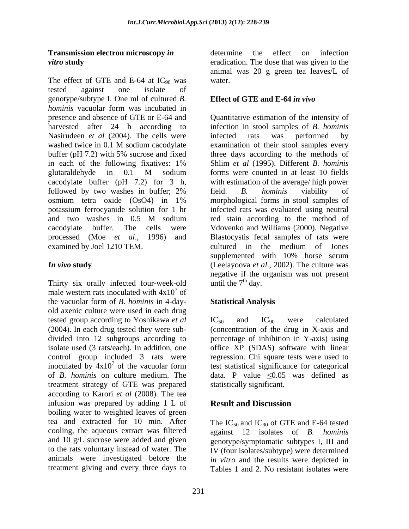The effect of GTE and E-64 at  $IC_{90}$  was water. tested against one isolate of genotype/subtype I. One ml of cultured *B. hominis* vacuolar form was incubated in presence and absence of GTE or E-64 and Quantitative estimation of the intensity of harvested after 24 h according to Nasirudeen *et al* (2004). The cells were infected rats was performed by washed twice in 0.1 M sodium cacodylate examination of their stool samples every buffer (pH 7.2) with 5% sucrose and fixed in each of the following fixatives: 1% Shlim et al (1995). Different B. hominis glutaraldehyde in 0.1 M sodium cacodylate buffer (pH 7.2) for 3 h, followed by two washes in buffer; 2% field. B. *hominis* viability of osmium tetra oxide (OsO4) in 1% potassium ferrocyanide solution for 1 hr and two washes in 0.5 M sodium cacodylate buffer. The cells were Vdovenko and Williams (2000). Negative processed (Moe *et al*., 1996) and Blastocystis fecal samples of rats were examined by Joel 1210 TEM. cultured in the medium of Jones

Thirty six orally infected four-week-old male western rats inoculated with  $4x10<sup>7</sup>$  of  $7 \text{ of }$ of the vacuolar form of *B. hominis* in 4-day old axenic culture were used in each drug tested group according to Yoshikawa *et al*  $IC_{50}$  and  $IC_{90}$  were calculated (2004). In each drug tested they were sub- (concentration of the drug in X-axis and divided into 12 subgroups according to percentage of inhibition in Y-axis) using isolate used (3 rats/each). In addition, one office XP (SDAS) software with linear control group included 3 rats were inoculated by  $4x10^7$  of the vacuolar form test statistical significance for categorical of *B. hominis* on culture medium. The data. P value  $\leq 0.05$  was defined as treatment strategy of GTE was prepared according to Karori *et al* (2008). The tea infusion was prepared by adding 1 L of **Result and Discussion** boiling water to weighted leaves of green tea and extracted for 10 min. After The  $IC_{50}$  and  $IC_{90}$  of GTE and E-64 tested cooling, the aqueous extract was filtered against 12 isolates of *B. hominis* and 10 g/L sucrose were added and given to the rats voluntary instead of water. The IV (four isolates/subtype) were determined animals were investigated before the *in vitro* and the results were depicted in

**Transmission electron microscopy** *in* determine the effect on infection *vitro* study eradication. The dose that was given to the determine the effect on infection animal was 20 g green tea leaves/L of water.

## **Effect of GTE and E-64** *in vivo*

*In vivo* **study** (Leelayoova *et al*., 2002). The culture was infection in stool samples of *B. hominis* infected rats was performed by examination of their stool samples every three days according to the methods of Shlim *et al* (1995). Different *B. hominis* forms were counted in at least 10 fields with estimation of the average/ high power field. *B. hominis* viability of morphological forms in stool samples of infected rats was evaluated using neutral red stain according to the method of supplemented with 10% horse serum negative if the organism was not present until the  $7<sup>th</sup>$  day.

# **Statistical Analysis**

 $IC_{50}$  and  $IC_{90}$  were calculated regression. Chi square tests were used to statistically significant.

# **Result and Discussion**

treatment giving and every three days to Tables 1 and 2. No resistant isolates weregenotype/symptomatic subtypes I, III and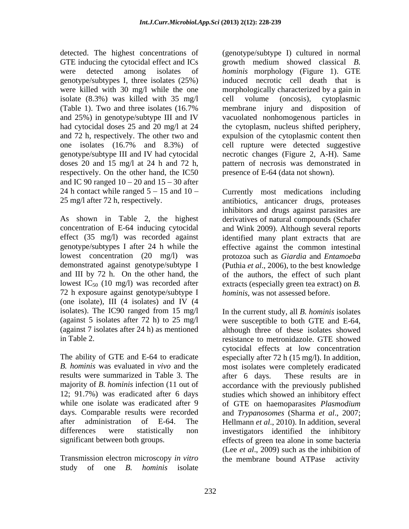GTE inducing the cytocidal effect and ICs isolate (8.3%) was killed with 35 mg/l cell volume (oncosis), cytoplasmic respectively. On the other hand, the IC50 and IC 90 ranged  $10 - 20$  and  $15 - 30$  after 24 h contact while ranged  $5 - 15$  and  $10 -$ 

72 h exposure against genotype/subtype I (one isolate), III (4 isolates) and IV (4

results were summarized in Table 3. The after 6 days. These results are in

Transmission electron microscopy *in vitro* study of one *B. hominis* isolate

detected. The highest concentrations of (genotype/subtype I) cultured in normal were detected among isolates of *hominis* morphology (Figure 1). GTE genotype/subtypes I, three isolates (25%) induced necrotic cell death that is were killed with 30 mg/l while the one morphologically characterized by a gain in (Table 1). Two and three isolates (16.7% and 25%) in genotype/subtype III and IV vacuolated nonhomogenous particles in had cytocidal doses 25 and 20 mg/l at 24 the cytoplasm, nucleus shifted periphery, and 72 h, respectively. The other two and expulsion of the cytoplasmic content then one isolates (16.7% and 8.3%) of cell rupture were detected suggestive genotype/subtype III and IV had cytocidal necrotic changes (Figure 2, A-H). Same doses 20 and 15 mg/l at 24 h and 72 h, pattern of necrosis was demonstrated in growth medium showed classical *B.*  cell volume (oncosis), cytoplasmic membrane injury and disposition of presence of E-64 (data not shown).

25 mg/l after 72 h, respectively. antibiotics, anticancer drugs, proteases As shown in Table 2, the highest derivatives of natural compounds (Schafer concentration of E-64 inducing cytocidal and Wink 2009). Although several reports effect (35 mg/l) was recorded against identified many plant extracts that are genotype/subtypes I after 24 h while the effective against the common intestinal lowest concentration (20 mg/l) was protozoa such as *Giardia* and *Entamoeba* demonstrated against genotype/subtype I (Puthia *et al*., 2006), to the best knowledge and III by 72 h. On the other hand, the of the authors, the effect of such plant lowest IC<sub>50</sub> (10 mg/l) was recorded after extracts (especially green tea extract) on *B*. Currently most medications including inhibitors and drugs against parasites are *hominis*, was not assessed before.

isolates). The IC90 ranged from 15 mg/l In the current study, all *B. hominis* isolates (against 5 isolates after 72 h) to 25 mg/l were susceptible to both GTE and E-64, (against 7 isolates after 24 h) as mentioned although three of these isolates showed in Table 2. resistance to metronidazole. GTE showed The ability of GTE and E-64 to eradicate especially after 72 h (15 mg/l). In addition, *B. hominis* was evaluated in *vivo* and the most isolates were completely eradicated majority of *B. hominis* infection (11 out of accordance with the previously published 12; 91.7%) was eradicated after 6 days studies which showed an inhibitory effect while one isolate was eradicated after 9 of GTE on haemoparasites *Plasmodium* days. Comparable results were recorded and *Trypanosomes* (Sharma *et al*., 2007; after administration of E-64. The Hellmann *et al*., 2010). In addition, several differences were statistically non investigators identified the inhibitory significant between both groups. effects of green tea alone in some bacteria cytocidal effects at low concentration after 6 days. These results are in (Lee *et al*., 2009) such as the inhibition of the membrane bound ATPase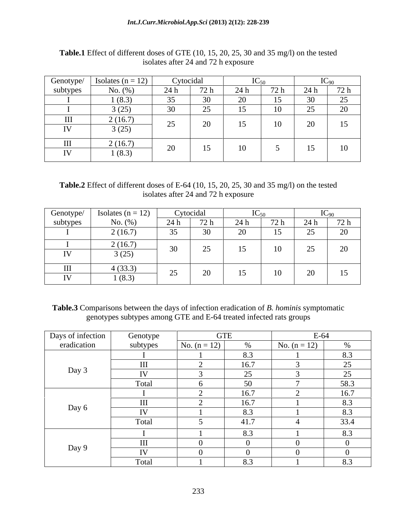| Genotype/ | Isolates ( $n = 12$ ) |            | Cytocidal                   |     | $IC_{50}$ | $T\cap$<br>$1C_{90}$ |                  |
|-----------|-----------------------|------------|-----------------------------|-----|-----------|----------------------|------------------|
| subtypes  | No. $(\%)$            | 24h        | 72 h                        | 24h | 72 h      | 24h                  | 72 h             |
|           | 1(8.3)                | 35         | $30^{\circ}$                |     | 15        | $30^{\circ}$         | 25               |
|           | 3(25)                 | 30<br>- JU | $\sim$ $\sim$<br>$\angle$ J |     | 10        | ں ک                  | 20               |
| III       | 2(16.7)               | 25         |                             |     |           |                      | 15 <sup>15</sup> |
| IV        | 3(25)                 | ں کے       | $\angle U$                  |     | 10        | 20                   |                  |
| $\rm III$ | 2(16.7)               |            |                             |     |           |                      |                  |
| IV        | 1(8.3)                | 20         | 15                          |     |           |                      | 10               |

**Table.1** Effect of different doses of GTE (10, 15, 20, 25, 30 and 35 mg/l) on the tested isolates after 24 and 72 h exposure

**Table.2** Effect of different doses of E-64 (10, 15, 20, 25, 30 and 35 mg/l) on the tested isolates after 24 and 72 h exposure

| Genotype/               | Isolates ( $n = 12$ ) | Cytocidal                           |              | エレ へい |      | $\mathbf{r}$        |      |  |
|-------------------------|-----------------------|-------------------------------------|--------------|-------|------|---------------------|------|--|
| subtypes                | No. $(\%)$            | 24 h                                | 72 h         | 24h   | 72 h | 24 h                | 72 h |  |
|                         | 2(16.7)               | $\sim$ $\sim$<br>$\rightarrow$<br>ຼ | $30^{\circ}$ |       | 15   | $\sim$ $\sim$<br>ر_ | 20   |  |
|                         | 2(16.7)               | $\sim$                              |              |       | 10   | $\sim$ $\sim$       | 20   |  |
| $\mathbf{I} \mathbf{V}$ | 3(25)                 |                                     | ر ب          |       |      | ر_                  |      |  |
| III                     | 4(33.3)               | $\sim$ $\sim$                       | $\Omega$     | - -   |      |                     |      |  |
| $\mathbf{I}$            | (8.3)                 | ب ک                                 | $\angle U$   |       | 10   | 20                  | 15   |  |

**Table.3** Comparisons between the days of infection eradication of *B. hominis* symptomatic genotypes subtypes among GTE and E-64 treated infected rats groups

| Days of infection | Genotype       | <b>GTE</b>     |               | $E-64$         |                 |
|-------------------|----------------|----------------|---------------|----------------|-----------------|
| eradication       | subtypes       | No. $(n = 12)$ | $\frac{9}{6}$ | No. $(n = 12)$ |                 |
|                   |                |                | 8.3           |                |                 |
|                   | $\mathbf{III}$ |                | 16.7          |                | $\sim$ $\sim$   |
| Day 3             | IV             |                | $\cap$        |                | $\Delta$ $\sim$ |
|                   | Total          |                |               |                | 58.3            |
|                   |                |                | 16.7          |                | 16.7            |
|                   | III            |                | 16.7          |                |                 |
| Day 6             | IV             |                | 8.3           |                | 8.3             |
|                   | Total          |                | 41.7          |                | 33.4            |
|                   |                |                | $\Omega$      |                |                 |
|                   |                |                |               |                |                 |
| Day 9             | $\mathbf{IV}$  |                |               |                |                 |
|                   | Total          |                |               |                |                 |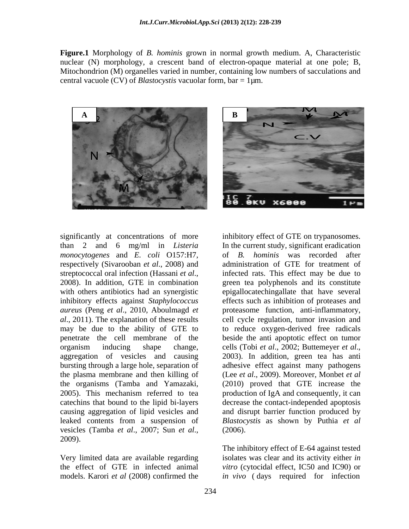**Figure.1** Morphology of *B. hominis* grown in normal growth medium. A, Characteristic nuclear (N) morphology, a crescent band of electron-opaque material at one pole; B, Mitochondrion (M) organelles varied in number, containing low numbers of sacculations and central vacuole (CV) of *Blastocystis* vacuolar form, bar = 1µm.





significantly at concentrations of more *monocytogenes* and *E. coli* O157:H7, respectively (Sivarooban *et al*., 2008) and inhibitory effects against *Staphylococcus*  organism inducing shape change, cells (Tobi et al., 2002; Buttemeyer et al., aggregation of vesicles and causing 2003). In addition, green tea has anti vesicles (Tamba *et al*., 2007; Sun *et al*., 2009).

than 2 and 6 mg/ml in *Listeria*  In the current study, significant eradication streptococcal oral infection (Hassani *et al.*, infected rats. This effect may be due to 2008). In addition, GTE in combination green tea polyphenols and its constitute with others antibiotics had an synergistic epigallocate chingallate that have several *aureus* (Peng *et al*., 2010, Aboulmagd *et*  proteasome function, anti-inflammatory, *al*., 2011). The explanation of these results cell cycle regulation, tumor invasion and may be due to the ability of GTE to to reduce oxygen-derived free radicals penetrate the cell membrane of the beside the anti apoptotic effect on tumor bursting through a large hole, separation of adhesive effect against many pathogens the plasma membrane and then killing of (Lee *et al*., 2009). Moreover, Monbet *et al* the organisms (Tamba and Yamazaki, (2010) proved that GTE increase the 2005). This mechanism referred to tea production of IgA and consequently, it can catechins that bound to the lipid bi-layers decrease the contact-independed apoptosis causing aggregation of lipid vesicles and and disrupt barrier function produced by leaked contents from a suspension of *Blastocystis* as shown by Puthia *et al* inhibitory effect of GTE on trypanosomes. of *B. hominis* was recorded after administration of GTE for treatment of infected rats. This effect may be due to green tea polyphenols and its constitute effects such as inhibition of proteases and cells (Tobi *et al*., 2002; Buttemeyer *et al*., 2003). In addition, green tea has anti (2006).

Very limited data are available regarding isolates was clear and its activity either *in*  the effect of GTE in infected animal *vitro* (cytocidal effect, IC50 and IC90) or models. Karori *et al* (2008) confirmed the *in vivo* ( days required for infection The inhibitory effect of E-64 against tested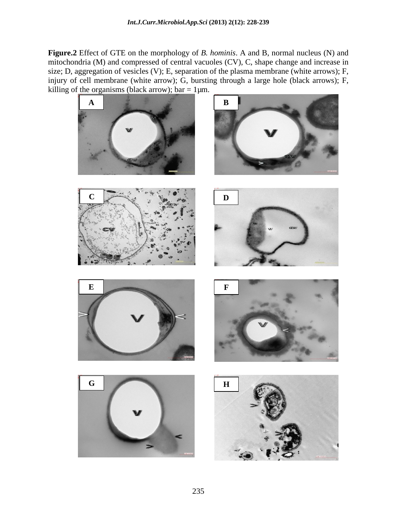**Figure.2** Effect of GTE on the morphology of *B. hominis*. A and B, normal nucleus (N) and mitochondria (M) and compressed of central vacuoles (CV), C, shape change and increase in size; D, aggregation of vesicles (V); E, separation of the plasma membrane (white arrows); F, injury of cell membrane (white arrow); G, bursting through a large hole (black arrows); F, killing of the organisms (black arrow);  $bar = 1 \mu m$ .

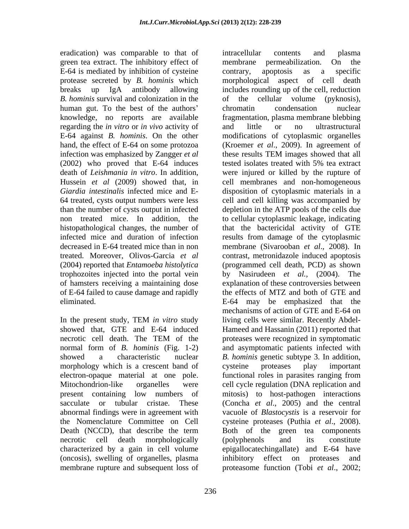eradication) was comparable to that of intracellular contents and plasma green tea extract. The inhibitory effect of membrane permeabilization. On the E-64 is mediated by inhibition of cysteine contrary, apoptosis as a specific *B. hominis* survival and colonization in the of the cellular volume (pyknosis), human gut. To the best of the authors' chromatin condensation nuclear regarding the *in vitro* or *in vivo* activity of infection was emphasized by Zangger *et al* these results TEM images showed that all (2002) who proved that E-64 induces tested isolates treated with 5% tea extract trophozoites injected into the portal vein of hamsters receiving a maintaining dose of E-64 failed to cause damage and rapidly

morphology which is a crescent band of cysteine proteases play important electron-opaque material at one pole. (oncosis), swelling of organelles, plasma

protease secreted by *B. hominis* which morphological aspect of cell death breaks up IgA antibody allowing includes rounding up of the cell, reduction knowledge, no reports are available fragmentation, plasma membrane blebbing E-64 against *B. hominis*. On the other modifications of cytoplasmic organelles hand, the effect of E-64 on some protozoa (Kroemer *et al*., 2009). In agreement of death of *Leishmania in vitro*. In addition, were injured or killed by the rupture of Hussein *et al* (2009) showed that, in cell membranes and non-homogeneous *Giardia intestinalis* infected mice and E- disposition of cytoplasmic materials in a 64 treated, cysts output numbers were less cell and cellkilling was accompanied by than the number of cysts output in infected depletion in the ATP pools of the cells due non treated mice. In addition, the to cellular cytoplasmic leakage, indicating histopathological changes, the number of that the bactericidal activity of GTE infected mice and duration of infection results from damage of the cytoplasmic decreased in E-64 treated mice than in non membrane (Sivarooban *et al*., 2008). In treated. Moreover, Olivos-Garcia *et al* contrast, metronidazole induced apoptosis (2004) reported that *Entamoeba histolytica*  (programmed cell death, PCD) as shown eliminated. E-64 may be emphasized that the In the present study, TEM *in vitro* study showed that, GTE and E-64 induced Hameed and Hassanin (2011) reported that necrotic cell death. The TEM of the proteases were recognized in symptomatic normal form of *B. hominis* (Fig. 1-2) and asymptomatic patients infected with showed a characteristic nuclear *B. hominis* genetic subtype 3. In addition, Mitochondrion-like organelles were cell cycle regulation (DNA replication and present containing low numbers of mitosis) to host-pathogen interactions sacculate or tubular cristae. These (Concha *et al*., 2005) and the central abnormal findings were in agreement with vacuole of *Blastocystis* is a reservoir for the Nomenclature Committee on Cell cysteine proteases (Puthia *et al*., 2008). Death (NCCD), that describe the term Both of the green tea components necrotic cell death morphologically (polyphenols and its constitute characterized by a gain in cell volume epigallocatechingallate) and E-64 have membrane rupture and subsequent loss of proteasome function (Tobi *et al*., 2002; membrane permeabilization. On the contrary, apoptosis as a specific of the cellular volume (pyknosis), chromatin condensation nuclear and little or no ultrastructural these results TEM images showed that all tested isolates treated with 5% tea extract by Nasirudeen *et al.,* (2004). The explanation of these controversies between the effects of MTZ and both of GTE and mechanisms of action of GTE and E-64 on living cells were similar. Recently Abdel proteases were recognized in symptomatic cysteine proteases play important functional roles in parasites ranging from Both of the green tea components (polyphenols and its constitute inhibitory effect on proteases and

intracellular contents and plasma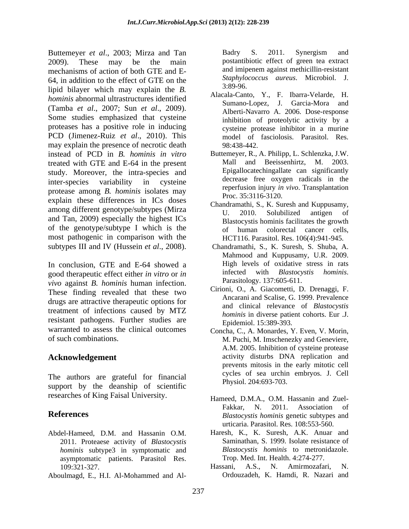Buttemeyer *et al*., 2003; Mirza and Tan 2009). These may be the main postantibiotic effect of green tea extract mechanisms of action of both GTE and E- 64, in addition to the effect of GTE on the  $\frac{Staphy}{3.89-96}$ lipid bilayer which may explain the *B. hominis* abnormal ultrastructures identified (Tamba *et al*., 2007; Sun *et al*., 2009). Some studies emphasized that cysteine proteases has a positive role in inducing PCD (Jimenez-Ruiz *et al*., 2010). This may explain the presence of necrotic death 98:438-442. instead of PCD in *B. hominis in vitro* Buttemeyer, R., A. Philipp, L. Schlenzka, J.W. treated with GTE and E-64 in the present study. Moreover, the intra-species and inter-species variability in cysteine decrease tree oxygen radicals in the protease among *B. hominis* isolates may explain these differences in ICs doses among different genotype/subtypes (Mirza<br>U. 2010. Solubilized antigen of and Tan, 2009) especially the highest ICs of the genotype/subtype I which is the of human most pathogenic in comparison with the subtypes III and IV (Hussein *et al*., 2008). Futures or al.,  $\Delta$ 2013, Microsoft and Tan 1940 S. 2011. Synergism and Tan 1940 S. 2011. Synergism and Tan 1940 S. 2011. Synergism and Tan 1940 S. 2011. The main space of the synergism and the synergism and the synergism

In conclusion, GTE and E-64 showed a High levels of oxidative stress in rats no equal the respective free test in the stress in the stress of the stress in the stress in the stress stress in the stress in the stress in the good therapeutic effect either *in vitro* or *in* infected with *Blastocy*<br>wive against *B* hominic human infection Parasitology. 137:605-611. *vivo* against *B. hominis* human infection. These finding revealed that these two drugs are attractive therapeutic options for treatment of infections caused by MTZ resistant pathogens. Further studies are warranted to assess the clinical outcomes Concha, C., A. Monardes, Y. Even, V. Morin,

The authors are grateful for financial support by the deanship of scientific researches of King Faisal University.

- Abdel-Hameed, D.M. and Hassanin O.M. 2011. Proteaese activity of *Blastocystis hominis* subtype3 in symptomatic and asymptomatic patients. Parasitol Res. Trop. Med. Int. Health. 4:274-277.<br>109:321-327 Hassani, A.S., N. Amirmozafari.
- 

and imipenem against methicillin-resistant *Staphylococcus aureus*. Microbiol. J. 3:89-96.

- Alacala-Canto, Y., F. Ibarra-Velarde, H. Sumano-Lopez, J. Garcia-Mora and Alberti-Navarro A. 2006. Dose-response inhibition of proteolytic activity by a cysteine protease inhibitor in a murine model of fasciolosis. Parasitol. Res. 98:438-442.
- Mall and Beeissenhirtz, M. 2003. Epigallocatechingallate can significantly decrease free oxygen radicals in the reperfusion injury *in vivo*. Transplantation Proc. 35:3116-3120.
- Chandramathi, S., K. Suresh and Kuppusamy, U. 2010. Solubilized antigen of Blastocystis hominis facilitates the growth colorectal cancer cells, HCT116. Parasitol. Res. 106(4):941-945.
- Chandramathi, S., K. Suresh, S. Shuba, A. Mahmood and Kuppusamy, U.R. 2009. High levels of oxidative stress in rats infected with *Blastocystis hominis*. Parasitology. 137:605-611.
- Cirioni, O., A. Giacometti, D. Drenaggi, F. Ancarani and Scalise, G. 1999. Prevalence and clinical relevance of *Blastocystis hominis* in diverse patient cohorts. Eur .J. Epidemiol. 15:389-393.
- of such combinations. M. Puchi, M. Imschenezky and Geneviere, **Acknowledgement**  activity disturbs DNA replication and A.M. 2005. Inhibition of cysteine protease prevents mitosis in the early mitotic cell cycles of sea urchin embryos. J. Cell Physiol. 204:693-703.
- **References** *Blastocystis hominis* genetic subtypes and Hameed, D.M.A., O.M. Hassanin and Zuel- Fakkar, N. 2011. Association of urticaria. Parasitol. Res. 108:553-560.
	- Haresh, K., K. Suresh, A.K. Anuar and Saminathan, S. 1999. Isolate resistance of *Blastocystis hominis* to metronidazole. Trop. Med. Int. Health. 4:274-277.
	- 109:321-327. Hassani, A.S., N. Amirmozafari, N. Ordouzadeh, K. Hamdi, R. Nazari and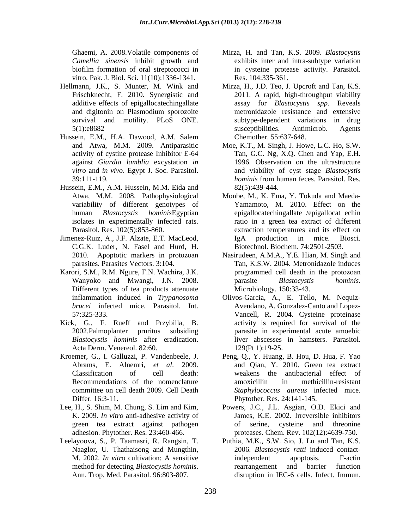vitro. Pak. J. Biol. Sci. 11(10):1336-1341.

- survival and motility. PLoS ONE.
- Hussein, E.M., H.A. Dawood, A.M. Salem
- Hussein, E.M., A.M. Hussein, M.M. Eida and 82(5):439-444. variability of different genotypes of
- Jimenez-Ruiz, A., J.F. Alzate, E.T. MacLeod, C.G.K. Luder, N. Fasel and Hurd, H.
- Karori, S.M., R.M. Ngure, F.N. Wachira, J.K. Different types of tea products attenuate Microbiology. 150:33-43.
- Kick, G., F. Rueff and Przybilla, B. *Blastocystis hominis* after eradication. Acta Derm. Venereol. 82:60.
- 
- 
- 
- Ghaemi, A. 2008.Volatile components of Mirza, H. and Tan, K.S. 2009. *Blastocystis Camellia sinensis* inhibit growth and exhibits inter and intra-subtype variation biofilm formation of oral streptococci in in cysteine protease activity. Parasitol. Res. 104:335-361.
- Hellmann, J.K., S. Munter, M. Wink and Mirza, H., J.D. Teo, J. Upcroft and Tan, K.S. Frischknecht, F. 2010. Synergistic and 2011. A rapid, high-throughput viability additive effects of epigallocatechingallate assay for *Blastocystis spp.* Reveals and digitonin on Plasmodium sporozoite 5(1):e8682 susceptibilities. Antimicrob. Agents metronidazole resistance and extensive subtype-dependent variations in drug susceptibilities. Antimicrob. Agents Chemother. 55:637-648.
	- and Atwa, M.M. 2009. Antiparasitic Moe, K.T., M. Singh, J. Howe, L.C. Ho, S.W. activity of cystine protease Inhibitor E-64 Tan, G.C. Ng, X.Q. Chen and Yap, E.H. against *Giardia lamblia* excystation *in*  1996. Observation on the ultrastructure *vitro* and *in vivo*. Egypt J. Soc. Parasitol. and viability of cyst stage*Blastocystis*  39:111-119. hominis from human feces. Parasitol. Res. *hominis* from human feces. Parasitol. Res. 82(5):439-444.
	- Atwa, M.M. 2008. Pathophysiological Monbe, M., K. Ema, Y. Tokuda and Maeda human *Blastocystis hominis*Egyptian epigallocatechingallate /epigallocat echin isolates in experimentally infected rats. ratio in a green tea extract of different Parasitol. Res. 102(5):853-860. extraction temperatures and its effect on Yamamoto, M. 2010. Effect on the IgA production in mice. Biosci. Biotechnol. Biochem. 74:2501-2503.
	- 2010. Apoptotic markers in protozoan Nasirudeen, A.M.A., Y.E. Hian, M. Singh and parasites. Parasites Vectors. 3:104. Tan, K.S.W. 2004. Metronidazole induces Wanyoko and Mwangi, J.N. 2008. programmed cell death in the protozoan parasite *Blastocystis hominis*. Microbiology. 150:33-43.
	- inflammation induced in *Trypanosoma*  Olivos-Garcia, A., E. Tello, M. Nequiz *brucei* infected mice. Parasitol. Int. Avendano, A. Gonzalez-Canto and Lopez-<br>57:325-333. Vancell, R. 2004. Cysteine proteinase 2002.Palmoplanter pruritus subsiding parasite in experimental acute amoebic Avendano, A. Gonzalez-Canto and Lopez- Vancell, R. 2004. Cysteine proteinase activity is required for survival of the liver abscesses in hamsters. Parasitol. 129(Pt 1):19-25.
- Kroemer, G., I. Galluzzi, P. Vandenbeele, J. Peng, Q., Y. Huang, B. Hou, D. Hua, F. Yao Abrams, E. Alnemri, *et al.* 2009. and Qian, Y. 2010. Green tea extract Classification of cell death: weakens the antibacterial effect of Recommendations of the nomenclature amoxicillin in methicillin-resistant committee on cell death 2009. Cell Death *Staphylococcus aureus* infected mice. Differ. 16:3-11. Phytother. Res. 24:141-145. amoxicillin in methicillin-resistant
- Lee, H., S. Shim, M. Chung, S. Lim and Kim, Powers, J.C., J.L. Asgian, O.D. Ekici and K. 2009. *In vitro* anti-adhesive activity of James, K.E. 2002. Irreversible inhibitors green tea extract against pathogen adhesion. Phytother. Res. 23:460-466. proteases. Chem. Rev. 102(12):4639-750. of serine, cysteine and threonine
- Leelayoova, S., P. Taamasri, R. Rangsin, T. Puthia, M.K., S.W. Sio, J. Lu and Tan, K.S. Naaglor, U. Thathaisong and Mungthin, 2006. *Blastocystis ratti* induced contact-M. 2002. *In vitro* cultivation: A sensitive method for detecting *Blastocystis hominis*. The arrangement and barrier function<br>Ann. Trop. Med. Parasitol. 96:803-807. disruption in IEC-6 cells. Infect. Immun. independent apoptosis, F-actin rearrangement and barrier function disruption in IEC-6 cells. Infect. Immun.